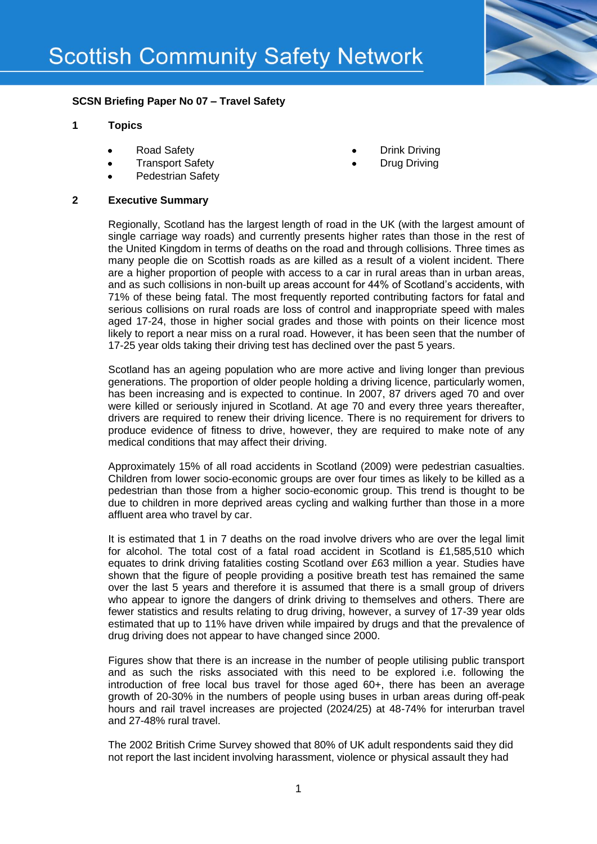

# **SCSN Briefing Paper No 07 – Travel Safety**

### **1 Topics**

- Road Safety
- Transport Safety  $\bullet$
- Pedestrian Safety

#### **2 Executive Summary**

- Drink Driving
- Drug Driving

Regionally, Scotland has the largest length of road in the UK (with the largest amount of single carriage way roads) and currently presents higher rates than those in the rest of the United Kingdom in terms of deaths on the road and through collisions. Three times as many people die on Scottish roads as are killed as a result of a violent incident. There are a higher proportion of people with access to a car in rural areas than in urban areas, and as such collisions in non-built up areas account for 44% of Scotland's accidents, with 71% of these being fatal. The most frequently reported contributing factors for fatal and serious collisions on rural roads are loss of control and inappropriate speed with males aged 17-24, those in higher social grades and those with points on their licence most likely to report a near miss on a rural road. However, it has been seen that the number of 17-25 year olds taking their driving test has declined over the past 5 years.

Scotland has an ageing population who are more active and living longer than previous generations. The proportion of older people holding a driving licence, particularly women, has been increasing and is expected to continue. In 2007, 87 drivers aged 70 and over were killed or seriously injured in Scotland. At age 70 and every three years thereafter, drivers are required to renew their driving licence. There is no requirement for drivers to produce evidence of fitness to drive, however, they are required to make note of any medical conditions that may affect their driving.

Approximately 15% of all road accidents in Scotland (2009) were pedestrian casualties. Children from lower socio-economic groups are over four times as likely to be killed as a pedestrian than those from a higher socio-economic group. This trend is thought to be due to children in more deprived areas cycling and walking further than those in a more affluent area who travel by car.

It is estimated that 1 in 7 deaths on the road involve drivers who are over the legal limit for alcohol. The total cost of a fatal road accident in Scotland is £1,585,510 which equates to drink driving fatalities costing Scotland over £63 million a year. Studies have shown that the figure of people providing a positive breath test has remained the same over the last 5 years and therefore it is assumed that there is a small group of drivers who appear to ignore the dangers of drink driving to themselves and others. There are fewer statistics and results relating to drug driving, however, a survey of 17-39 year olds estimated that up to 11% have driven while impaired by drugs and that the prevalence of drug driving does not appear to have changed since 2000.

Figures show that there is an increase in the number of people utilising public transport and as such the risks associated with this need to be explored i.e. following the introduction of free local bus travel for those aged 60+, there has been an average growth of 20-30% in the numbers of people using buses in urban areas during off-peak hours and rail travel increases are projected (2024/25) at 48-74% for interurban travel and 27-48% rural travel.

The 2002 British Crime Survey showed that 80% of UK adult respondents said they did not report the last incident involving harassment, violence or physical assault they had